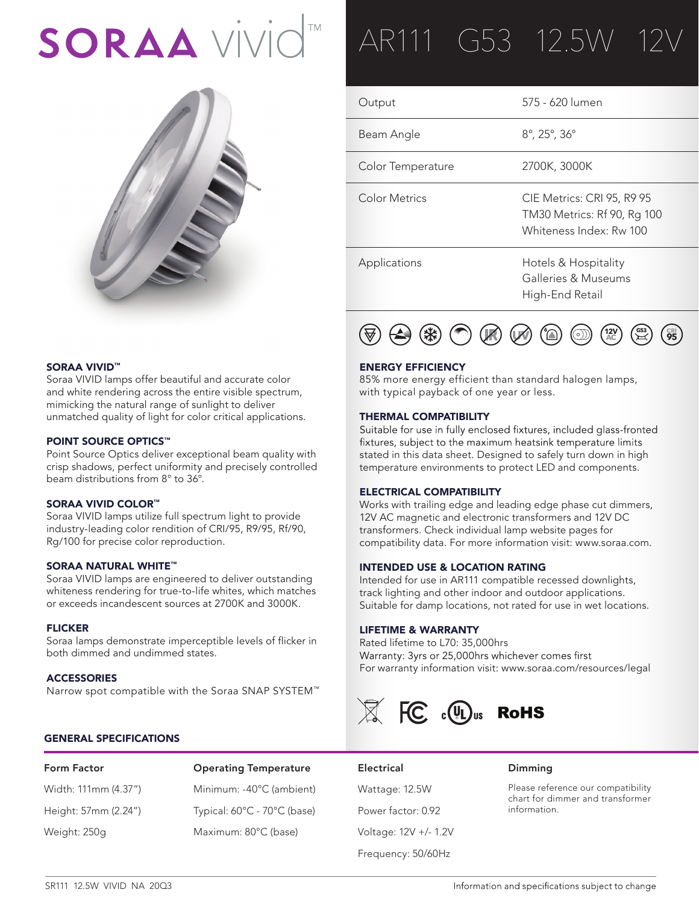# SORAA VİVİ



# SORAA VIVID™

Soraa VIVID lamps offer beautiful and accurate color and white rendering across the entire visible spectrum, mimicking the natural range of sunlight to deliver unmatched quality of light for color critical applications.

# POINT SOURCE OPTICS<sup>™</sup>

Point Source Optics deliver exceptional beam quality with crisp shadows, perfect uniformity and precisely controlled beam distributions from 8° to 36°.

# SORAA VIVID COLOR™

Soraa VIVID lamps utilize full spectrum light to provide industry-leading color rendition of CRI/95, R9/95, Rf/90, Rg/100 for precise color reproduction.

# SORAA NATURAL WHITE™

Soraa VIVID lamps are engineered to deliver outstanding whiteness rendering for true-to-life whites, which matches or exceeds incandescent sources at 2700K and 3000K.

# FLICKER

Soraa lamps demonstrate imperceptible levels of flicker in both dimmed and undimmed states.

# **ACCESSORIES**

Narrow spot compatible with the Soraa SNAP SYSTEM™

# GENERAL SPECIFICATIONS

# Form Factor Operating Temperature Electrical Dimming Width: 111mm (4.37") Minimum: -40°C (ambient) Wattage: 12.5W Height: 57mm (2.24") Typical: 60°C - 70°C (base) Power factor: 0.92 Weight: 250g Maximum: 80°C (base) Voltage: 12V +/- 1.2V

# AR111 G53 12.5W 12

| Output            | 575 - 620 lumen                                                                      |
|-------------------|--------------------------------------------------------------------------------------|
| Beam Angle        | $8^{\circ}$ , 25 $^{\circ}$ , 36 $^{\circ}$                                          |
| Color Temperature | 2700K, 3000K                                                                         |
| Color Metrics     | CIE Metrics: CRI 95, R9 95<br>TM30 Metrics: Rf 90, Rg 100<br>Whiteness Index: Rw 100 |
| Applications      | Hotels & Hospitality<br>Galleries & Museums<br>High-End Retail                       |



# ENERGY EFFICIENCY

85% more energy efficient than standard halogen lamps, with typical payback of one year or less.

**THERMAL COMPATIBILITY**<br>Suitable for use in fully enclosed fixtures, included glass-fronted fixtures, subject to the maximum heatsink temperature limits stated in this data sheet. Designed to safely turn down in high temperature environments to protect LED and components.

# ELECTRICAL COMPATIBILITY

Works with trailing edge and leading edge phase cut dimmers, 12V AC magnetic and electronic transformers and 12V DC transformers. Check individual lamp website pages for compatibility data. For more information visit: www.soraa.com.

# INTENDED USE & LOCATION RATING

Intended for use in AR111 compatible recessed downlights, track lighting and other indoor and outdoor applications. Suitable for damp locations, not rated for use in wet locations.

# LIFETIME & WARRANTY

Rated lifetime to L70: 35,000hrs Warranty: 3yrs or 25,000hrs whichever comes first For warranty information visit: www.soraa.com/resources/legal



# Frequency: 50/60Hz

Please reference our compatibility chart for dimmer and transformer information.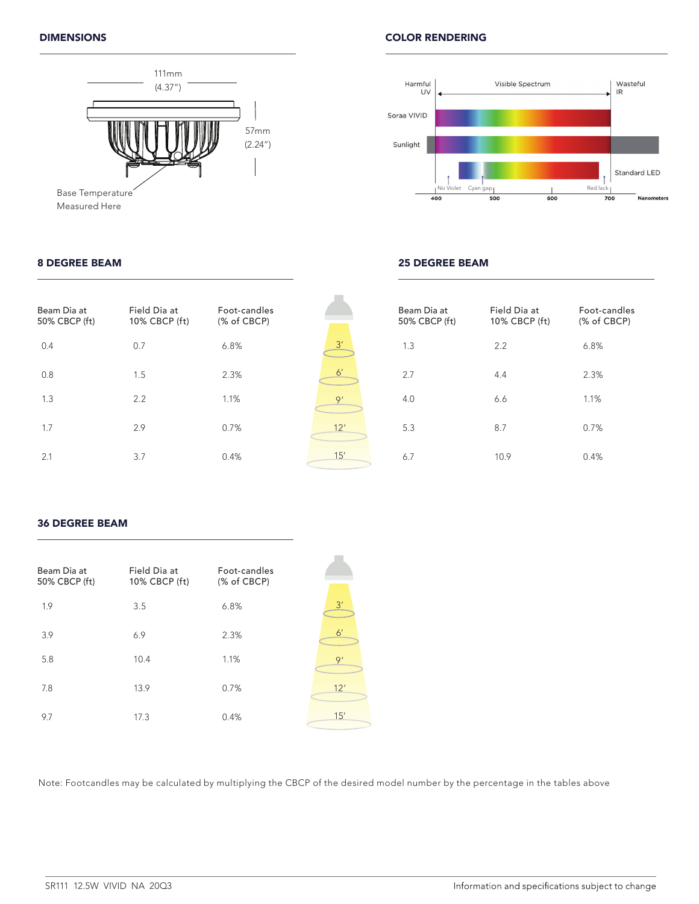

Measured Here

# 8 DEGREE BEAM





# 25 DEGREE BEAM

| Beam Dia at<br>50% CBCP (ft) | Field Dia at<br>10% CBCP (ft) | Foot-candles<br>(% of CBCP) |                | Beam Dia at<br>50% CBCP (ft) | Field Dia at<br>10% CBCP (ft) | Foot-candles<br>(% of CBCP) |
|------------------------------|-------------------------------|-----------------------------|----------------|------------------------------|-------------------------------|-----------------------------|
| 0.4                          | 0.7                           | 6.8%                        | 3'             | 1.3                          | 2.2                           | 6.8%                        |
| 0.8                          | 1.5                           | 2.3%                        | 6 <sup>'</sup> | 2.7                          | 4.4                           | 2.3%                        |
| 1.3                          | 2.2                           | 1.1%                        | Q'             | 4.0                          | 6.6                           | 1.1%                        |
| 1.7                          | 2.9                           | 0.7%                        | 12'            | 5.3                          | 8.7                           | 0.7%                        |
| 2.1                          | 3.7                           | 0.4%                        | 15'            | 6.7                          | 10.9                          | 0.4%                        |

# 36 DEGREE BEAM

| Beam Dia at<br>50% CBCP (ft) | Field Dia at<br>10% CBCP (ft) | Foot-candles<br>(% of CBCP) |              |
|------------------------------|-------------------------------|-----------------------------|--------------|
| 1.9                          | 3.5                           | 6.8%                        | 3'           |
| 3.9                          | 6.9                           | 2.3%                        | $6^{\prime}$ |
| 5.8                          | 10.4                          | 1.1%                        | 9'           |
| 7.8                          | 13.9                          | 0.7%                        | 12'          |
| 9.7                          | 17.3                          | 0.4%                        | 15'          |

Note: Footcandles may be calculated by multiplying the CBCP of the desired model number by the percentage in the tables above